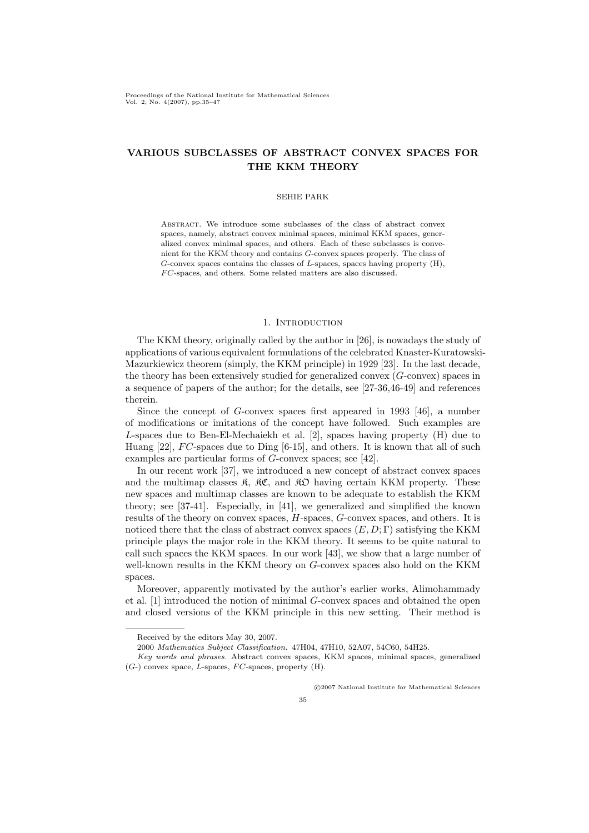# VARIOUS SUBCLASSES OF ABSTRACT CONVEX SPACES FOR THE KKM THEORY

### SEHIE PARK

Abstract. We introduce some subclasses of the class of abstract convex spaces, namely, abstract convex minimal spaces, minimal KKM spaces, generalized convex minimal spaces, and others. Each of these subclasses is convenient for the KKM theory and contains G-convex spaces properly. The class of G-convex spaces contains the classes of L-spaces, spaces having property (H), FC-spaces, and others. Some related matters are also discussed.

### 1. Introduction

The KKM theory, originally called by the author in [26], is nowadays the study of applications of various equivalent formulations of the celebrated Knaster-Kuratowski-Mazurkiewicz theorem (simply, the KKM principle) in 1929 [23]. In the last decade, the theory has been extensively studied for generalized convex (G-convex) spaces in a sequence of papers of the author; for the details, see [27-36,46-49] and references therein.

Since the concept of G-convex spaces first appeared in 1993 [46], a number of modifications or imitations of the concept have followed. Such examples are L-spaces due to Ben-El-Mechaiekh et al. [2], spaces having property (H) due to Huang  $[22]$ , FC-spaces due to Ding  $[6-15]$ , and others. It is known that all of such examples are particular forms of G-convex spaces; see [42].

In our recent work [37], we introduced a new concept of abstract convex spaces and the multimap classes  $\mathfrak{K}, \mathfrak{K}\mathfrak{C}$ , and  $\mathfrak{K}\mathfrak{D}$  having certain KKM property. These new spaces and multimap classes are known to be adequate to establish the KKM theory; see [37-41]. Especially, in [41], we generalized and simplified the known results of the theory on convex spaces, H-spaces, G-convex spaces, and others. It is noticed there that the class of abstract convex spaces  $(E, D; \Gamma)$  satisfying the KKM principle plays the major role in the KKM theory. It seems to be quite natural to call such spaces the KKM spaces. In our work [43], we show that a large number of well-known results in the KKM theory on G-convex spaces also hold on the KKM spaces.

Moreover, apparently motivated by the author's earlier works, Alimohammady et al. [1] introduced the notion of minimal G-convex spaces and obtained the open and closed versions of the KKM principle in this new setting. Their method is

°c 2007 National Institute for Mathematical Sciences

Received by the editors May 30, 2007.

<sup>2000</sup> Mathematics Subject Classification. 47H04, 47H10, 52A07, 54C60, 54H25.

Key words and phrases. Abstract convex spaces, KKM spaces, minimal spaces, generalized  $(G-)$  convex space,  $L$ -spaces,  $FC$ -spaces, property  $(H)$ .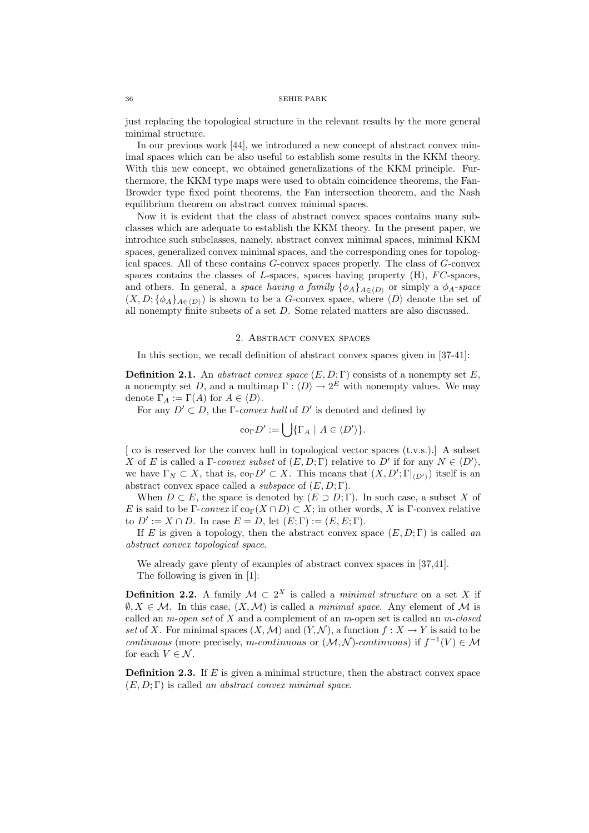just replacing the topological structure in the relevant results by the more general minimal structure.

In our previous work [44], we introduced a new concept of abstract convex minimal spaces which can be also useful to establish some results in the KKM theory. With this new concept, we obtained generalizations of the KKM principle. Furthermore, the KKM type maps were used to obtain coincidence theorems, the Fan-Browder type fixed point theorems, the Fan intersection theorem, and the Nash equilibrium theorem on abstract convex minimal spaces.

Now it is evident that the class of abstract convex spaces contains many subclasses which are adequate to establish the KKM theory. In the present paper, we introduce such subclasses, namely, abstract convex minimal spaces, minimal KKM spaces, generalized convex minimal spaces, and the corresponding ones for topological spaces. All of these contains G-convex spaces properly. The class of G-convex spaces contains the classes of  $L$ -spaces, spaces having property (H),  $FC$ -spaces, and others. In general, a space having a family  $\{\phi_A\}_{A\in\{D\}}$  or simply a  $\phi_A$ -space  $(X, D; {\phi_A}_{A \in (D)})$  is shown to be a G-convex space, where  $\langle D \rangle$  denote the set of all nonempty finite subsets of a set D. Some related matters are also discussed.

#### 2. Abstract convex spaces

In this section, we recall definition of abstract convex spaces given in [37-41]:

**Definition 2.1.** An *abstract convex space*  $(E, D; \Gamma)$  consists of a nonempty set E. a nonempty set D, and a multimap  $\Gamma : \langle D \rangle \to 2^E$  with nonempty values. We may denote  $\Gamma_A := \Gamma(A)$  for  $A \in \langle D \rangle$ .

For any  $D' \subset D$ , the Γ-convex hull of D' is denoted and defined by

$$
\mathrm{co}_{\Gamma} D' := \bigcup \{ \Gamma_A \mid A \in \langle D' \rangle \}.
$$

 $\lceil$  co is reserved for the convex hull in topological vector spaces  $(t.v.s.).$  A subset X of E is called a  $\Gamma$ -convex subset of  $(E, D; \Gamma)$  relative to D' if for any  $N \in \langle D' \rangle$ , we have  $\Gamma_N \subset X$ , that is,  $\text{co}_{\Gamma} D' \subset X$ . This means that  $(X, D'; \Gamma|_{\langle D' \rangle})$  itself is an abstract convex space called a *subspace* of  $(E, D; \Gamma)$ .

When  $D \subset E$ , the space is denoted by  $(E \supset D; \Gamma)$ . In such case, a subset X of E is said to be Γ-convex if  $\text{co}_{\Gamma}(X \cap D) \subset X$ ; in other words, X is Γ-convex relative to  $D' := X \cap D$ . In case  $E = D$ , let  $(E; \Gamma) := (E, E; \Gamma)$ .

If E is given a topology, then the abstract convex space  $(E, D; \Gamma)$  is called an abstract convex topological space.

We already gave plenty of examples of abstract convex spaces in [37,41]. The following is given in [1]:

**Definition 2.2.** A family  $M \text{ }\subset 2^X$  is called a *minimal structure* on a set X if  $\emptyset, X \in \mathcal{M}$ . In this case,  $(X, \mathcal{M})$  is called a *minimal space*. Any element of M is called an  $m$ -open set of  $X$  and a complement of an  $m$ -open set is called an  $m$ -closed set of X. For minimal spaces  $(X, \mathcal{M})$  and  $(Y, \mathcal{N})$ , a function  $f : X \to Y$  is said to be continuous (more precisely, m-continuous or  $(M, N)$ -continuous) if  $f^{-1}(V) \in M$ for each  $V\in\mathcal{N}.$ 

**Definition 2.3.** If  $E$  is given a minimal structure, then the abstract convex space  $(E, D; \Gamma)$  is called an abstract convex minimal space.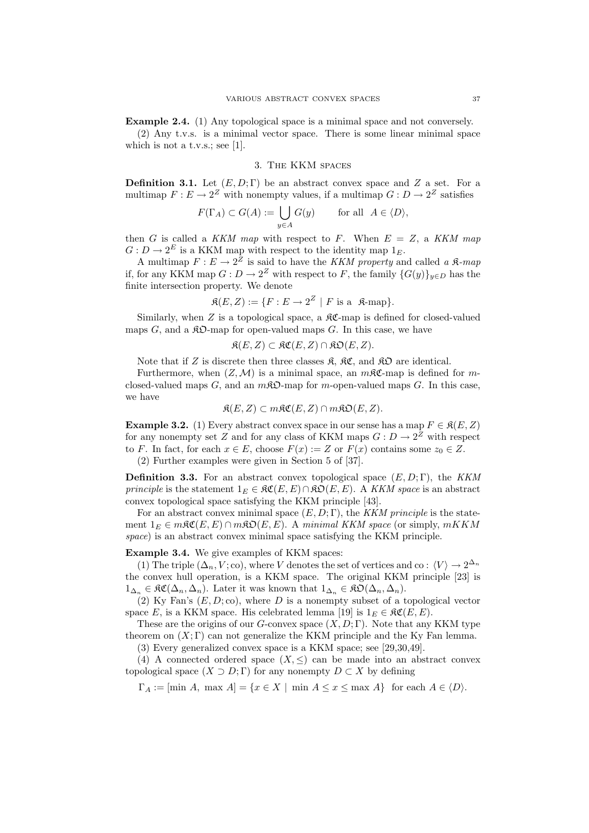Example 2.4. (1) Any topological space is a minimal space and not conversely. (2) Any t.v.s. is a minimal vector space. There is some linear minimal space which is not a t.v.s.; see [1].

#### 3. The KKM spaces

**Definition 3.1.** Let  $(E, D; \Gamma)$  be an abstract convex space and Z a set. For a multimap  $F: E \to 2^Z$  with nonempty values, if a multimap  $G: D \to 2^Z$  satisfies

$$
F(\Gamma_A) \subset G(A) := \bigcup_{y \in A} G(y) \quad \text{for all } A \in \langle D \rangle,
$$

then G is called a KKM map with respect to F. When  $E = Z$ , a KKM map  $G: D \to 2^E$  is a KKM map with respect to the identity map  $1_E$ .

A multimap  $F: E \to 2^Z$  is said to have the KKM property and called a  $\mathfrak{K}\text{-}map$ if, for any KKM map  $G: D \to 2^Z$  with respect to F, the family  $\{G(y)\}_{y \in D}$  has the finite intersection property. We denote

$$
\mathfrak{K}(E,Z) := \{ F : E \to 2^Z \mid F \text{ is a } \mathfrak{K}\text{-map} \}.
$$

Similarly, when  $Z$  is a topological space, a  $\mathcal{RC}$ -map is defined for closed-valued maps  $G$ , and a  $\mathcal{R}D$ -map for open-valued maps  $G$ . In this case, we have

$$
\mathfrak{K}(E, Z) \subset \mathfrak{KC}(E, Z) \cap \mathfrak{KD}(E, Z).
$$

Note that if Z is discrete then three classes  $\mathfrak{K}$ ,  $\mathfrak{K}\mathfrak{C}$ , and  $\mathfrak{K}\mathfrak{O}$  are identical.

Furthermore, when  $(Z, M)$  is a minimal space, an  $m\mathcal{RC}$ -map is defined for mclosed-valued maps G, and an  $m\mathfrak{K}\mathfrak{O}$ -map for m-open-valued maps G. In this case, we have

$$
\mathfrak{K}(E, Z) \subset m\mathfrak{K}\mathfrak{C}(E, Z) \cap m\mathfrak{K}\mathfrak{O}(E, Z).
$$

**Example 3.2.** (1) Every abstract convex space in our sense has a map  $F \in \mathfrak{K}(E, Z)$ for any nonempty set Z and for any class of KKM maps  $G: D \to 2^Z$  with respect to F. In fact, for each  $x \in E$ , choose  $F(x) := Z$  or  $F(x)$  contains some  $z_0 \in Z$ .

(2) Further examples were given in Section 5 of [37].

**Definition 3.3.** For an abstract convex topological space  $(E, D; \Gamma)$ , the KKM *principle* is the statement  $1_E \in \mathcal{RC}(E, E) \cap \mathcal{RD}(E, E)$ . A KKM space is an abstract convex topological space satisfying the KKM principle [43].

For an abstract convex minimal space  $(E, D; \Gamma)$ , the KKM principle is the statement  $1_E \in m\mathfrak{RC}(E, E) \cap m\mathfrak{RO}(E, E)$ . A minimal KKM space (or simply,  $mKKM$ space) is an abstract convex minimal space satisfying the KKM principle.

Example 3.4. We give examples of KKM spaces:

(1) The triple  $(\Delta_n, V; \text{co})$ , where V denotes the set of vertices and co:  $\langle V \rangle \to 2^{\Delta_n}$ the convex hull operation, is a KKM space. The original KKM principle [23] is  $1_{\Delta_n} \in \mathfrak{RC}(\Delta_n, \Delta_n)$ . Later it was known that  $1_{\Delta_n} \in \mathfrak{RO}(\Delta_n, \Delta_n)$ .

(2) Ky Fan's  $(E, D; \text{co})$ , where D is a nonempty subset of a topological vector space E, is a KKM space. His celebrated lemma [19] is  $1_E \in \mathfrak{RC}(E, E)$ .

These are the origins of our G-convex space  $(X, D; \Gamma)$ . Note that any KKM type theorem on  $(X; \Gamma)$  can not generalize the KKM principle and the Ky Fan lemma.

(3) Every generalized convex space is a KKM space; see [29,30,49].

(4) A connected ordered space  $(X, \leq)$  can be made into an abstract convex topological space  $(X \supset D; \Gamma)$  for any nonempty  $D \subset X$  by defining

 $\Gamma_A := \text{min } A$ ,  $\max A = \{x \in X \mid \min A \le x \le \max A\}$  for each  $A \in \langle D \rangle$ .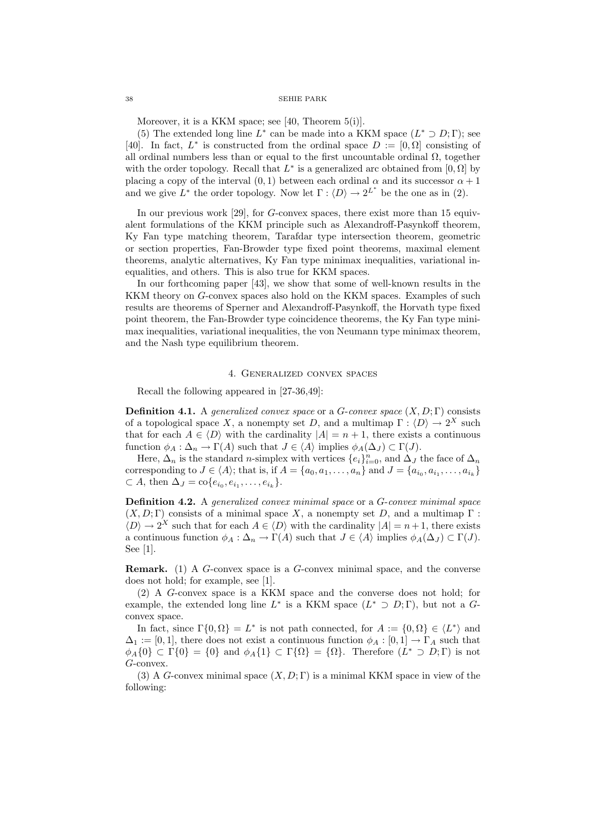Moreover, it is a KKM space; see [40, Theorem 5(i)].

(5) The extended long line  $L^*$  can be made into a KKM space  $(L^* \supset D; \Gamma)$ ; see [40]. In fact,  $L^*$  is constructed from the ordinal space  $D := [0, \Omega]$  consisting of all ordinal numbers less than or equal to the first uncountable ordinal  $\Omega$ , together with the order topology. Recall that  $L^*$  is a generalized arc obtained from [0,  $\Omega$ ] by placing a copy of the interval  $(0, 1)$  between each ordinal  $\alpha$  and its successor  $\alpha + 1$ and we give  $L^*$  the order topology. Now let  $\Gamma : \langle D \rangle \to 2^{L^*}$  be the one as in (2).

In our previous work [29], for  $G$ -convex spaces, there exist more than 15 equivalent formulations of the KKM principle such as Alexandroff-Pasynkoff theorem, Ky Fan type matching theorem, Tarafdar type intersection theorem, geometric or section properties, Fan-Browder type fixed point theorems, maximal element theorems, analytic alternatives, Ky Fan type minimax inequalities, variational inequalities, and others. This is also true for KKM spaces.

In our forthcoming paper [43], we show that some of well-known results in the KKM theory on G-convex spaces also hold on the KKM spaces. Examples of such results are theorems of Sperner and Alexandroff-Pasynkoff, the Horvath type fixed point theorem, the Fan-Browder type coincidence theorems, the Ky Fan type minimax inequalities, variational inequalities, the von Neumann type minimax theorem, and the Nash type equilibrium theorem.

## 4. Generalized convex spaces

Recall the following appeared in [27-36,49]:

**Definition 4.1.** A generalized convex space or a G-convex space  $(X, D; \Gamma)$  consists of a topological space X, a nonempty set D, and a multimap  $\Gamma : \langle D \rangle \to 2^X$  such that for each  $A \in \langle D \rangle$  with the cardinality  $|A| = n + 1$ , there exists a continuous function  $\phi_A : \Delta_n \to \Gamma(A)$  such that  $J \in \langle A \rangle$  implies  $\phi_A(\Delta_J) \subset \Gamma(J)$ .

Here,  $\Delta_n$  is the standard *n*-simplex with vertices  $\{e_i\}_{i=0}^n$ , and  $\Delta_J$  the face of  $\Delta_n$ corresponding to  $J \in \langle A \rangle$ ; that is, if  $A = \{a_0, a_1, \ldots, a_n\}$  and  $J = \{a_{i_0}, a_{i_1}, \ldots, a_{i_k}\}\$  $\subset A$ , then  $\Delta_J = \text{co}\{e_{i_0}, e_{i_1}, \dots, e_{i_k}\}.$ 

Definition 4.2. A generalized convex minimal space or a G-convex minimal space  $(X, D; \Gamma)$  consists of a minimal space X, a nonempty set D, and a multimap  $\Gamma$ :  $\langle D \rangle \to 2^X$  such that for each  $A \in \langle D \rangle$  with the cardinality  $|A| = n + 1$ , there exists a continuous function  $\phi_A : \Delta_n \to \Gamma(A)$  such that  $J \in \langle A \rangle$  implies  $\phi_A(\Delta_J) \subset \Gamma(J)$ . See [1].

Remark. (1) A G-convex space is a G-convex minimal space, and the converse does not hold; for example, see [1].

(2) A G-convex space is a KKM space and the converse does not hold; for example, the extended long line  $L^*$  is a KKM space  $(L^* \supset D; \Gamma)$ , but not a Gconvex space.

In fact, since  $\Gamma\{0,\Omega\} = L^*$  is not path connected, for  $A := \{0,\Omega\} \in \langle L^* \rangle$  and  $\Delta_1 := [0,1]$ , there does not exist a continuous function  $\phi_A : [0,1] \to \Gamma_A$  such that  $\phi_A\{0\} \subset \Gamma\{0\} = \{0\}$  and  $\phi_A\{1\} \subset \Gamma\{\Omega\} = \{\Omega\}.$  Therefore  $(L^* \supset D; \Gamma)$  is not G-convex.

(3) A G-convex minimal space  $(X, D; \Gamma)$  is a minimal KKM space in view of the following: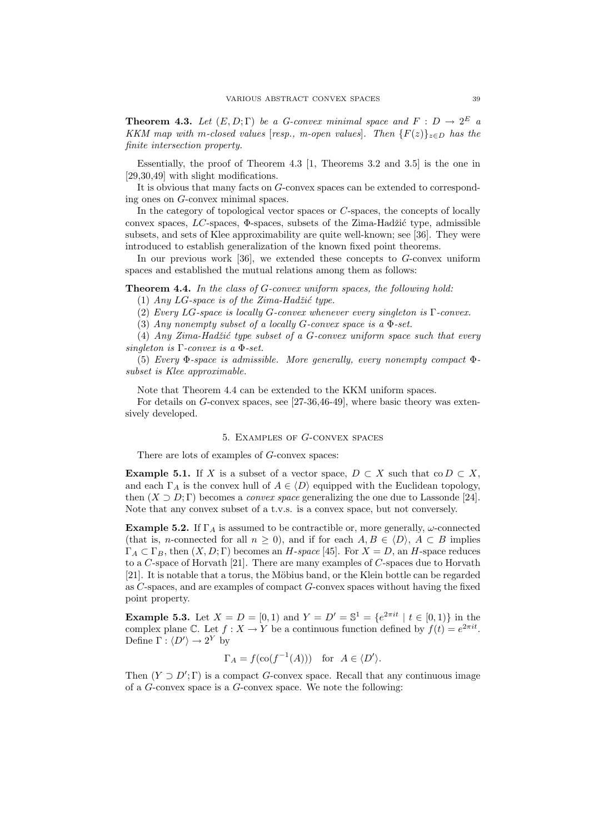**Theorem 4.3.** Let  $(E, D; \Gamma)$  be a G-convex minimal space and  $F : D \to 2^E$  a KKM map with m-closed values [resp., m-open values]. Then  ${F(z)}_{z\in D}$  has the finite intersection property.

Essentially, the proof of Theorem 4.3 [1, Theorems 3.2 and 3.5] is the one in [29,30,49] with slight modifications.

It is obvious that many facts on G-convex spaces can be extended to corresponding ones on G-convex minimal spaces.

In the category of topological vector spaces or C-spaces, the concepts of locally convex spaces,  $LC$ -spaces,  $\Phi$ -spaces, subsets of the Zima-Hadžić type, admissible subsets, and sets of Klee approximability are quite well-known; see [36]. They were introduced to establish generalization of the known fixed point theorems.

In our previous work [36], we extended these concepts to G-convex uniform spaces and established the mutual relations among them as follows:

Theorem 4.4. In the class of G-convex uniform spaces, the following hold:

(1) Any  $LG$ -space is of the Zima-Hadžić type.

(2) Every LG-space is locally G-convex whenever every singleton is Γ-convex.

(3) Any nonempty subset of a locally G-convex space is a  $\Phi$ -set.

(4) Any Zima-Hadžić type subset of a G-convex uniform space such that every singleton is  $\Gamma$ -convex is a  $\Phi$ -set.

(5) Every Φ-space is admissible. More generally, every nonempty compact Φsubset is Klee approximable.

Note that Theorem 4.4 can be extended to the KKM uniform spaces.

For details on G-convex spaces, see [27-36,46-49], where basic theory was extensively developed.

## 5. Examples of G-convex spaces

There are lots of examples of G-convex spaces:

**Example 5.1.** If X is a subset of a vector space,  $D \subset X$  such that co  $D \subset X$ , and each  $\Gamma_A$  is the convex hull of  $A \in \langle D \rangle$  equipped with the Euclidean topology, then  $(X \supset D; \Gamma)$  becomes a *convex space* generalizing the one due to Lassonde [24]. Note that any convex subset of a t.v.s. is a convex space, but not conversely.

**Example 5.2.** If  $\Gamma_A$  is assumed to be contractible or, more generally,  $\omega$ -connected (that is, *n*-connected for all  $n \geq 0$ ), and if for each  $A, B \in \langle D \rangle$ ,  $A \subset B$  implies  $\Gamma_A \subset \Gamma_B$ , then  $(X, D; \Gamma)$  becomes an H-space [45]. For  $X = D$ , an H-space reduces to a C-space of Horvath [21]. There are many examples of C-spaces due to Horvath [21]. It is notable that a torus, the Möbius band, or the Klein bottle can be regarded as C-spaces, and are examples of compact G-convex spaces without having the fixed point property.

**Example 5.3.** Let  $X = D = [0, 1)$  and  $Y = D' = \mathbb{S}^1 = \{e^{2\pi i t} | t \in [0, 1)\}\$ in the complex plane C. Let  $f: X \to Y$  be a continuous function defined by  $f(t) = e^{2\pi i t}$ . Define  $\Gamma : \langle D' \rangle \to 2^Y$  by

$$
\Gamma_A = f(\text{co}(f^{-1}(A)))
$$
 for  $A \in \langle D' \rangle$ .

Then  $(Y \supset D'; \Gamma)$  is a compact G-convex space. Recall that any continuous image of a G-convex space is a G-convex space. We note the following: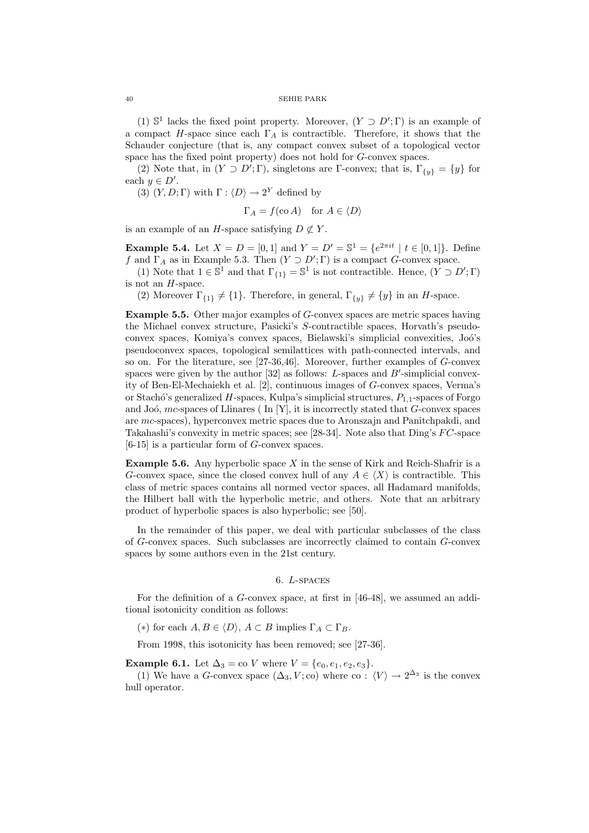(1)  $\mathbb{S}^1$  lacks the fixed point property. Moreover,  $(Y \supset D'; \Gamma)$  is an example of a compact H-space since each  $\Gamma_A$  is contractible. Therefore, it shows that the Schauder conjecture (that is, any compact convex subset of a topological vector space has the fixed point property) does not hold for G-convex spaces.

(2) Note that, in  $(Y \supset D'; \Gamma)$ , singletons are  $\Gamma$ -convex; that is,  $\Gamma_{\{y\}} = \{y\}$  for each  $y \in D'$ .

(3)  $(Y, D; \Gamma)$  with  $\Gamma : \langle D \rangle \to 2^Y$  defined by

$$
\Gamma_A = f(\text{co }A) \quad \text{for } A \in \langle D \rangle
$$

is an example of an H-space satisfying  $D \not\subset Y$ .

**Example 5.4.** Let  $X = D = [0, 1]$  and  $Y = D' = \mathbb{S}^1 = \{e^{2\pi i t} \mid t \in [0, 1]\}.$  Define f and  $\Gamma_A$  as in Example 5.3. Then  $(Y \supset D'; \Gamma)$  is a compact G-convex space.

(1) Note that  $1 \in \mathbb{S}^1$  and that  $\Gamma_{\{1\}} = \mathbb{S}^1$  is not contractible. Hence,  $(Y \supset D'; \Gamma)$ is not an H-space.

(2) Moreover  $\Gamma_{\{1\}} \neq \{1\}$ . Therefore, in general,  $\Gamma_{\{y\}} \neq \{y\}$  in an H-space.

Example 5.5. Other major examples of G-convex spaces are metric spaces having the Michael convex structure, Pasicki's S-contractible spaces, Horvath's pseudoconvex spaces, Komiya's convex spaces, Bielawski's simplicial convexities, Joó's pseudoconvex spaces, topological semilattices with path-connected intervals, and so on. For the literature, see [27-36,46]. Moreover, further examples of G-convex spaces were given by the author  $[32]$  as follows: L-spaces and  $B'$ -simplicial convexity of Ben-El-Mechaiekh et al. [2], continuous images of G-convex spaces, Verma's or Stachó's generalized  $H$ -spaces, Kulpa's simplicial structures,  $P_{1,1}$ -spaces of Forgo and Joó,  $mc$ -spaces of Llinares (In [Y], it is incorrectly stated that  $G$ -convex spaces are mc-spaces), hyperconvex metric spaces due to Aronszajn and Panitchpakdi, and Takahashi's convexity in metric spaces; see [28-34]. Note also that  $\text{Ding's } FC\text{-space}$ [6-15] is a particular form of G-convex spaces.

**Example 5.6.** Any hyperbolic space X in the sense of Kirk and Reich-Shafrir is a G-convex space, since the closed convex hull of any  $A \in \langle X \rangle$  is contractible. This class of metric spaces contains all normed vector spaces, all Hadamard manifolds, the Hilbert ball with the hyperbolic metric, and others. Note that an arbitrary product of hyperbolic spaces is also hyperbolic; see [50].

In the remainder of this paper, we deal with particular subclasses of the class of G-convex spaces. Such subclasses are incorrectly claimed to contain G-convex spaces by some authors even in the 21st century.

## 6. L-spaces

For the definition of a G-convex space, at first in [46-48], we assumed an additional isotonicity condition as follows:

(\*) for each  $A, B \in \langle D \rangle$ ,  $A \subset B$  implies  $\Gamma_A \subset \Gamma_B$ .

From 1998, this isotonicity has been removed; see [27-36].

**Example 6.1.** Let  $\Delta_3 = \text{co } V$  where  $V = \{e_0, e_1, e_2, e_3\}.$ 

(1) We have a G-convex space  $(\Delta_3, V; \text{co})$  where co :  $\langle V \rangle \to 2^{\Delta_3}$  is the convex hull operator.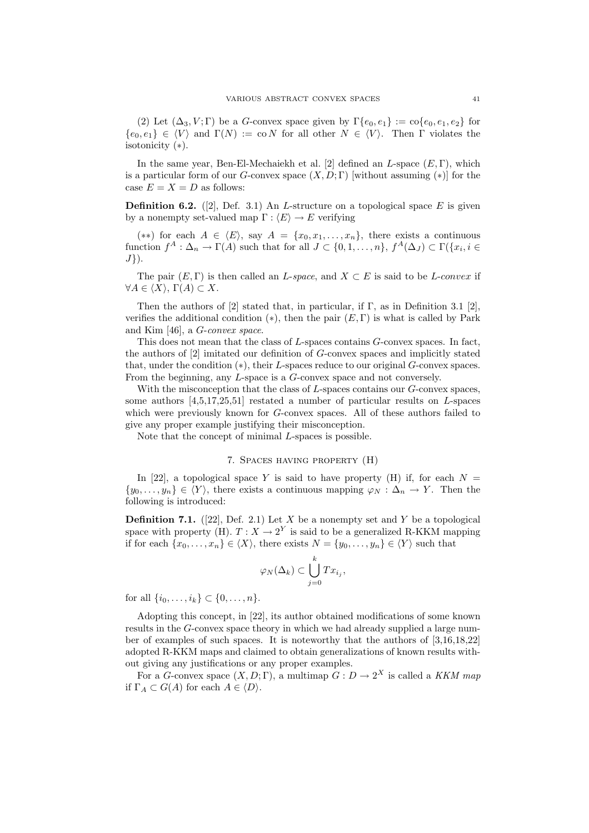(2) Let  $(\Delta_3, V; \Gamma)$  be a G-convex space given by  $\Gamma\{e_0, e_1\} := \text{co}\{e_0, e_1, e_2\}$  for  ${e_0, e_1} \in \langle V \rangle$  and  $\Gamma(N) := \text{co } N$  for all other  $N \in \langle V \rangle$ . Then Γ violates the isotonicity (∗).

In the same year, Ben-El-Mechaiekh et al. [2] defined an  $L$ -space  $(E, \Gamma)$ , which is a particular form of our G-convex space  $(X, D; \Gamma)$  [without assuming  $(*)$ ] for the case  $E = X = D$  as follows:

**Definition 6.2.** ([2], Def. 3.1) An *L*-structure on a topological space  $E$  is given by a nonempty set-valued map  $\Gamma : \langle E \rangle \to E$  verifying

(\*\*) for each  $A \in \langle E \rangle$ , say  $A = \{x_0, x_1, \ldots, x_n\}$ , there exists a continuous function  $f^A: \Delta_n \to \Gamma(A)$  such that for all  $J \subset \{0,1,\ldots,n\}$ ,  $f^A(\Delta_J) \subset \Gamma(\{x_i, i \in$  $J$ .

The pair  $(E, \Gamma)$  is then called an *L*-space, and  $X \subset E$  is said to be *L*-convex if  $\forall A \in \langle X \rangle$ ,  $\Gamma(A) \subset X$ .

Then the authors of [2] stated that, in particular, if  $\Gamma$ , as in Definition 3.1 [2], verifies the additional condition  $(*),$  then the pair  $(E, \Gamma)$  is what is called by Park and Kim [46], a G-convex space.

This does not mean that the class of L-spaces contains G-convex spaces. In fact, the authors of [2] imitated our definition of G-convex spaces and implicitly stated that, under the condition (∗), their L-spaces reduce to our original G-convex spaces. From the beginning, any L-space is a G-convex space and not conversely.

With the misconception that the class of  $L$ -spaces contains our  $G$ -convex spaces, some authors  $[4,5,17,25,51]$  restated a number of particular results on L-spaces which were previously known for G-convex spaces. All of these authors failed to give any proper example justifying their misconception.

Note that the concept of minimal L-spaces is possible.

## 7. Spaces having property (H)

In [22], a topological space Y is said to have property (H) if, for each  $N =$  $\{y_0, \ldots, y_n\} \in \langle Y \rangle$ , there exists a continuous mapping  $\varphi_N : \Delta_n \to Y$ . Then the following is introduced:

**Definition 7.1.** ([22], Def. 2.1) Let X be a nonempty set and Y be a topological space with property (H).  $T: X \to 2^Y$  is said to be a generalized R-KKM mapping if for each  $\{x_0, \ldots, x_n\} \in \langle X \rangle$ , there exists  $N = \{y_0, \ldots, y_n\} \in \langle Y \rangle$  such that

$$
\varphi_N(\Delta_k) \subset \bigcup_{j=0}^k Tx_{i_j},
$$

for all  $\{i_0, \ldots, i_k\} \subset \{0, \ldots, n\}.$ 

Adopting this concept, in [22], its author obtained modifications of some known results in the G-convex space theory in which we had already supplied a large number of examples of such spaces. It is noteworthy that the authors of [3,16,18,22] adopted R-KKM maps and claimed to obtain generalizations of known results without giving any justifications or any proper examples.

For a G-convex space  $(X, D; \Gamma)$ , a multimap  $G: D \to 2^X$  is called a KKM map if  $\Gamma_A \subset G(A)$  for each  $A \in \langle D \rangle$ .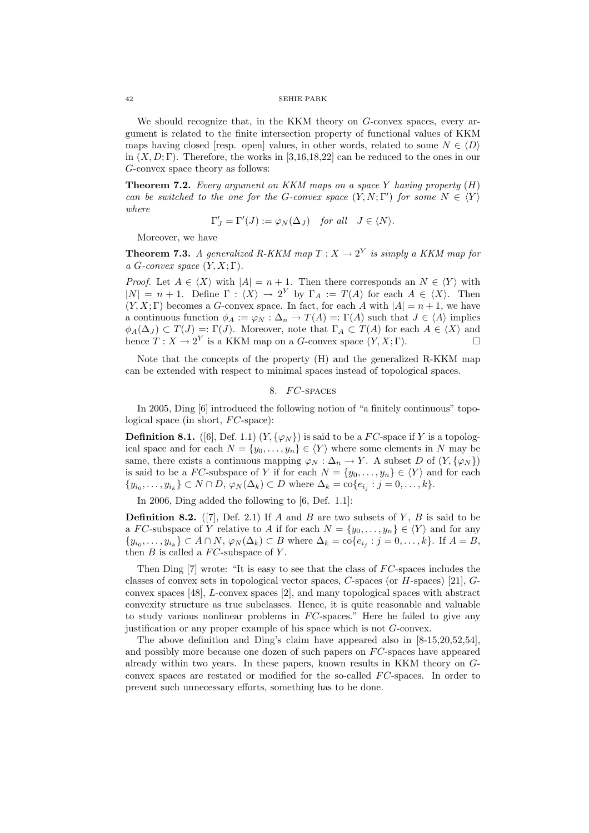We should recognize that, in the KKM theory on G-convex spaces, every argument is related to the finite intersection property of functional values of KKM maps having closed [resp. open] values, in other words, related to some  $N \in \langle D \rangle$ in  $(X, D; \Gamma)$ . Therefore, the works in [3,16,18,22] can be reduced to the ones in our G-convex space theory as follows:

**Theorem 7.2.** Every argument on KKM maps on a space Y having property  $(H)$ can be switched to the one for the G-convex space  $(Y, N; \Gamma')$  for some  $N \in \langle Y \rangle$ where

$$
\Gamma'_J = \Gamma'(J) := \varphi_N(\Delta_J) \quad \text{for all} \quad J \in \langle N \rangle.
$$

Moreover, we have

**Theorem 7.3.** A generalized R-KKM map  $T : X \to 2^Y$  is simply a KKM map for a G-convex space  $(Y, X; \Gamma)$ .

*Proof.* Let  $A \in \langle X \rangle$  with  $|A| = n + 1$ . Then there corresponds an  $N \in \langle Y \rangle$  with  $|N| = n + 1$ . Define  $\Gamma : \langle X \rangle \to 2^Y$  by  $\Gamma_A := T(A)$  for each  $A \in \langle X \rangle$ . Then  $(Y, X; \Gamma)$  becomes a G-convex space. In fact, for each A with  $|A| = n + 1$ , we have a continuous function  $\phi_A := \varphi_N : \Delta_n \to T(A) =: \Gamma(A)$  such that  $J \in \langle A \rangle$  implies  $\phi_A(\Delta_J) \subset T(J) =: \Gamma(J)$ . Moreover, note that  $\Gamma_A \subset T(A)$  for each  $A \in \langle X \rangle$  and hence  $T: X \to 2^Y$  is a KKM map on a G-convex space  $(Y, X; \Gamma)$ .

Note that the concepts of the property (H) and the generalized R-KKM map can be extended with respect to minimal spaces instead of topological spaces.

## 8. FC-SPACES

In 2005, Ding [6] introduced the following notion of "a finitely continuous" topological space (in short,  $FC$ -space):

**Definition 8.1.** ([6], Def. 1.1)  $(Y, \{\varphi_N\})$  is said to be a FC-space if Y is a topological space and for each  $N = \{y_0, \ldots, y_n\} \in \langle Y \rangle$  where some elements in N may be same, there exists a continuous mapping  $\varphi_N : \Delta_n \to Y$ . A subset D of  $(Y, \{\varphi_N\})$ is said to be a FC-subspace of Y if for each  $N = \{y_0, \ldots, y_n\} \in \langle Y \rangle$  and for each  $\{y_{i_0},\ldots,y_{i_k}\}\subset N\cap D, \varphi_N(\Delta_k)\subset D$  where  $\Delta_k=\text{co}\{e_{i_j}:j=0,\ldots,k\}.$ 

In 2006, Ding added the following to [6, Def. 1.1]:

**Definition 8.2.** ([7], Def. 2.1) If A and B are two subsets of Y, B is said to be a FC-subspace of Y relative to A if for each  $N = \{y_0, \ldots, y_n\} \in \langle Y \rangle$  and for any  $\{y_{i_0},\ldots,y_{i_k}\}\subset A\cap N$ ,  $\varphi_N(\Delta_k)\subset B$  where  $\Delta_k=\text{co}\{e_{i_j}:j=0,\ldots,k\}$ . If  $A=B$ , then  $B$  is called a  $FC$ -subspace of Y.

Then Ding  $[7]$  wrote: "It is easy to see that the class of  $FC$ -spaces includes the classes of convex sets in topological vector spaces, C-spaces (or H-spaces) [21], Gconvex spaces [48], L-convex spaces [2], and many topological spaces with abstract convexity structure as true subclasses. Hence, it is quite reasonable and valuable to study various nonlinear problems in  $FC$ -spaces." Here he failed to give any justification or any proper example of his space which is not G-convex.

The above definition and Ding's claim have appeared also in [8-15,20,52,54], and possibly more because one dozen of such papers on  $FC$ -spaces have appeared already within two years. In these papers, known results in KKM theory on Gconvex spaces are restated or modified for the so-called  $FC$ -spaces. In order to prevent such unnecessary efforts, something has to be done.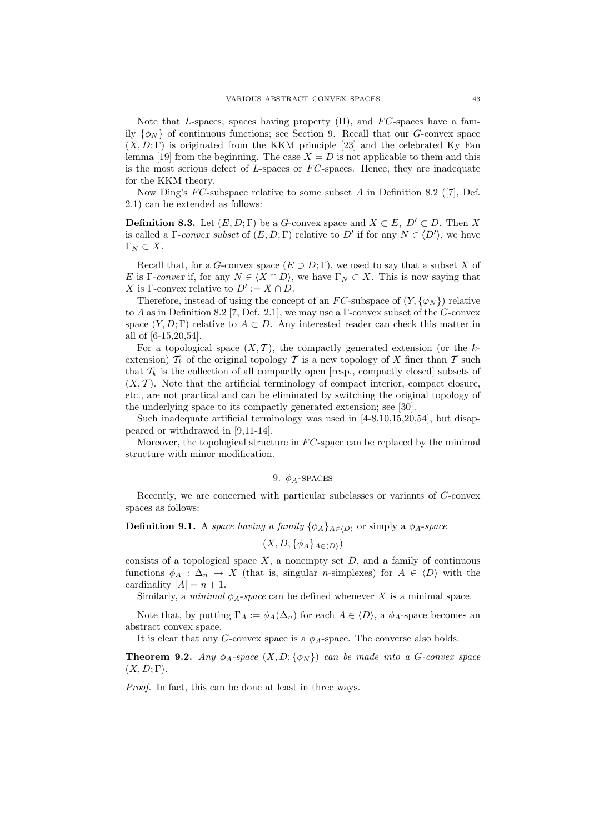Note that L-spaces, spaces having property  $(H)$ , and  $FC$ -spaces have a family  $\{\phi_N\}$  of continuous functions; see Section 9. Recall that our G-convex space  $(X, D; \Gamma)$  is originated from the KKM principle [23] and the celebrated Ky Fan lemma [19] from the beginning. The case  $X = D$  is not applicable to them and this is the most serious defect of L-spaces or  $FC$ -spaces. Hence, they are inadequate for the KKM theory.

Now Ding's  $FC$ -subspace relative to some subset A in Definition 8.2 ([7], Def. 2.1) can be extended as follows:

**Definition 8.3.** Let  $(E, D; \Gamma)$  be a G-convex space and  $X \subset E$ ,  $D' \subset D$ . Then X is called a  $\Gamma$ -convex subset of  $(E, D; \Gamma)$  relative to D' if for any  $N \in \langle D' \rangle$ , we have  $\Gamma_N \subset X$ .

Recall that, for a G-convex space  $(E \supset D;\Gamma)$ , we used to say that a subset X of E is Γ-convex if, for any  $N \in \langle X \cap D \rangle$ , we have  $\Gamma_N \subset X$ . This is now saying that X is Γ-convex relative to  $D' := X \cap D$ .

Therefore, instead of using the concept of an FC-subspace of  $(Y, {\varphi_N})$  relative to A as in Definition 8.2 [7, Def. 2.1], we may use a Γ-convex subset of the G-convex space  $(Y, D; \Gamma)$  relative to  $A \subset D$ . Any interested reader can check this matter in all of [6-15,20,54].

For a topological space  $(X, \mathcal{T})$ , the compactly generated extension (or the kextension)  $\mathcal{T}_k$  of the original topology  $\mathcal T$  is a new topology of X finer than  $\mathcal T$  such that  $\mathcal{T}_k$  is the collection of all compactly open [resp., compactly closed] subsets of  $(X, \mathcal{T})$ . Note that the artificial terminology of compact interior, compact closure, etc., are not practical and can be eliminated by switching the original topology of the underlying space to its compactly generated extension; see [30].

Such inadequate artificial terminology was used in [4-8,10,15,20,54], but disappeared or withdrawed in [9,11-14].

Moreover, the topological structure in  $FC$ -space can be replaced by the minimal structure with minor modification.

## 9.  $\phi_A$ -SPACES

Recently, we are concerned with particular subclasses or variants of G-convex spaces as follows:

**Definition 9.1.** A space having a family  $\{\phi_A\}_{A\in\{D\}}$  or simply a  $\phi_A$ -space

$$
(X, D; \{\phi_A\}_{A \in \langle D \rangle})
$$

consists of a topological space  $X$ , a nonempty set  $D$ , and a family of continuous functions  $\phi_A : \Delta_n \to X$  (that is, singular *n*-simplexes) for  $A \in \langle D \rangle$  with the cardinality  $|A| = n + 1$ .

Similarly, a *minimal*  $\phi_A$ -space can be defined whenever X is a minimal space.

Note that, by putting  $\Gamma_A := \phi_A(\Delta_n)$  for each  $A \in \langle D \rangle$ , a  $\phi_A$ -space becomes an abstract convex space.

It is clear that any G-convex space is a  $\phi_A$ -space. The converse also holds:

**Theorem 9.2.** Any  $\phi_A$ -space  $(X, D; \{\phi_N\})$  can be made into a G-convex space  $(X, D; \Gamma)$ .

Proof. In fact, this can be done at least in three ways.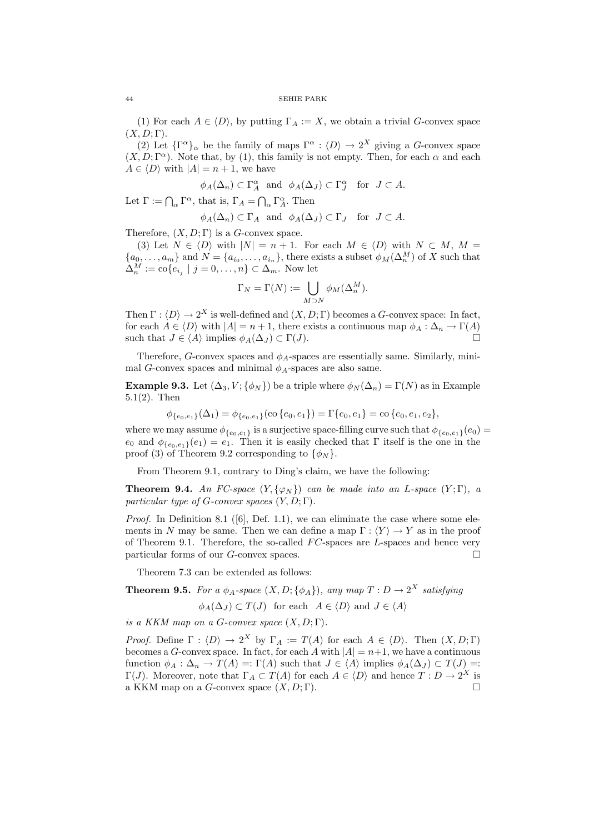(1) For each  $A \in \langle D \rangle$ , by putting  $\Gamma_A := X$ , we obtain a trivial G-convex space  $(X, D; \Gamma)$ .

(2) Let  $\{\Gamma^{\alpha}\}_\alpha$  be the family of maps  $\Gamma^{\alpha} : \langle D \rangle \to 2^X$  giving a G-convex space  $(X, D; \Gamma^{\alpha})$ . Note that, by (1), this family is not empty. Then, for each  $\alpha$  and each  $A \in \langle D \rangle$  with  $|A| = n + 1$ , we have

$$
\phi_A(\Delta_n) \subset \Gamma_A^{\alpha}
$$
 and  $\phi_A(\Delta_J) \subset \Gamma_J^{\alpha}$  for  $J \subset A$ .

Let  $\Gamma := \bigcap_{\alpha} \Gamma^{\alpha}$ , that is,  $\Gamma_A = \bigcap_{\alpha} \Gamma^{\alpha}$ . Then

$$
\phi_A(\Delta_n) \subset \Gamma_A
$$
 and  $\phi_A(\Delta_J) \subset \Gamma_J$  for  $J \subset A$ .

Therefore,  $(X, D; \Gamma)$  is a G-convex space.

(3) Let  $N \in \langle D \rangle$  with  $|N| = n + 1$ . For each  $M \in \langle D \rangle$  with  $N \subset M$ ,  $M =$  $\{a_0, \ldots, a_m\}$  and  $N = \{a_{i_0}, \ldots, a_{i_n}\}\$ , there exists a subset  $\phi_M(\Delta_n^M)$  of X such that  $\Delta_n^M := \text{co}\{e_{i_j} \mid j = 0, \ldots, n\} \subset \Delta_m$ . Now let

$$
\Gamma_N = \Gamma(N) := \bigcup_{M \supset N} \phi_M(\Delta_n^M).
$$

Then  $\Gamma : \langle D \rangle \to 2^X$  is well-defined and  $(X, D; \Gamma)$  becomes a G-convex space: In fact, for each  $A \in \langle D \rangle$  with  $|A| = n + 1$ , there exists a continuous map  $\phi_A : \Delta_n \to \Gamma(A)$ such that  $J \in \langle A \rangle$  implies  $\phi_A(\Delta_J) \subset \Gamma(J)$ .

Therefore, G-convex spaces and  $\phi_A$ -spaces are essentially same. Similarly, minimal G-convex spaces and minimal  $\phi_A$ -spaces are also same.

**Example 9.3.** Let  $(\Delta_3, V; {\phi_N})$  be a triple where  $\phi_N(\Delta_n) = \Gamma(N)$  as in Example 5.1(2). Then

$$
\phi_{\{e_0, e_1\}}(\Delta_1) = \phi_{\{e_0, e_1\}}(\text{co}\{e_0, e_1\}) = \Gamma\{e_0, e_1\} = \text{co}\{e_0, e_1, e_2\},
$$

where we may assume  $\phi_{\{e_0,e_1\}}$  is a surjective space-filling curve such that  $\phi_{\{e_0,e_1\}}(e_0)$  =  $e_0$  and  $\phi_{\{e_0,e_1\}}(e_1) = e_1$ . Then it is easily checked that  $\Gamma$  itself is the one in the proof (3) of Theorem 9.2 corresponding to  $\{\phi_N\}$ .

From Theorem 9.1, contrary to Ding's claim, we have the following:

**Theorem 9.4.** An FC-space  $(Y, \{\varphi_N\})$  can be made into an L-space  $(Y, \Gamma)$ , a particular type of G-convex spaces  $(Y, D; \Gamma)$ .

*Proof.* In Definition 8.1 ([6], Def. 1.1), we can eliminate the case where some elements in N may be same. Then we can define a map  $\Gamma : \langle Y \rangle \to Y$  as in the proof of Theorem 9.1. Therefore, the so-called  $FC$ -spaces are  $L$ -spaces and hence very particular forms of our G-convex spaces.  $\Box$ 

Theorem 7.3 can be extended as follows:

**Theorem 9.5.** For a 
$$
\phi_A
$$
-space  $(X, D; {\phi_A})$ , any map  $T : D \to 2^X$  satisfying

$$
\phi_A(\Delta_J) \subset T(J)
$$
 for each  $A \in \langle D \rangle$  and  $J \in \langle A \rangle$ 

is a KKM map on a G-convex space  $(X, D; \Gamma)$ .

*Proof.* Define  $\Gamma : \langle D \rangle \to 2^X$  by  $\Gamma_A := T(A)$  for each  $A \in \langle D \rangle$ . Then  $(X, D; \Gamma)$ becomes a G-convex space. In fact, for each A with  $|A| = n+1$ , we have a continuous function  $\phi_A : \Delta_n \to T(A) =: \Gamma(A)$  such that  $J \in \langle A \rangle$  implies  $\phi_A(\Delta_J) \subset T(J) =:$  $\Gamma(J)$ . Moreover, note that  $\Gamma_A \subset T(A)$  for each  $A \in \langle D \rangle$  and hence  $T: D \to 2^X$  is a KKM map on a G-convex space  $(X, D; \Gamma)$ .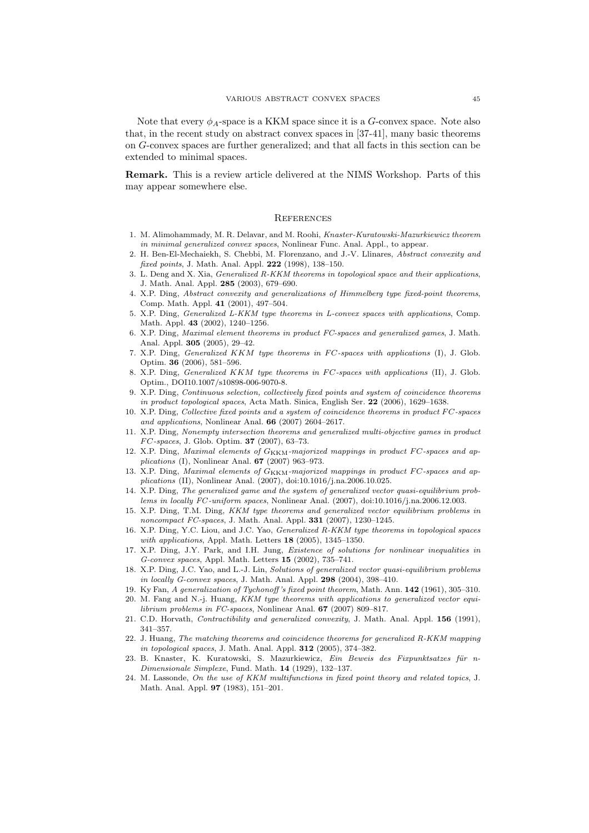Note that every  $\phi_A$ -space is a KKM space since it is a G-convex space. Note also that, in the recent study on abstract convex spaces in [37-41], many basic theorems on G-convex spaces are further generalized; and that all facts in this section can be extended to minimal spaces.

Remark. This is a review article delivered at the NIMS Workshop. Parts of this may appear somewhere else.

### **REFERENCES**

- 1. M. Alimohammady, M. R. Delavar, and M. Roohi, Knaster-Kuratowski-Mazurkiewicz theorem in minimal generalized convex spaces, Nonlinear Func. Anal. Appl., to appear.
- 2. H. Ben-El-Mechaiekh, S. Chebbi, M. Florenzano, and J.-V. Llinares, Abstract convexity and fixed points, J. Math. Anal. Appl. 222 (1998), 138–150.
- 3. L. Deng and X. Xia, Generalized R-KKM theorems in topological space and their applications, J. Math. Anal. Appl. 285 (2003), 679–690.
- 4. X.P. Ding, Abstract convexity and generalizations of Himmelberg type fixed-point theorems, Comp. Math. Appl. 41 (2001), 497–504.
- 5. X.P. Ding, Generalized L-KKM type theorems in L-convex spaces with applications, Comp. Math. Appl. 43 (2002), 1240–1256.
- 6. X.P. Ding, Maximal element theorems in product FC-spaces and generalized games, J. Math. Anal. Appl. 305 (2005), 29–42.
- 7. X.P. Ding, Generalized  $KKM$  type theorems in  $FC$ -spaces with applications (I), J. Glob. Optim. 36 (2006), 581–596.
- 8. X.P. Ding, *Generalized KKM type theorems in FC-spaces with applications* (II), J. Glob. Optim., DOI10.1007/s10898-006-9070-8.
- 9. X.P. Ding, Continuous selection, collectively fixed points and system of coincidence theorems in product topological spaces, Acta Math. Sinica, English Ser. 22 (2006), 1629–1638.
- 10. X.P. Ding, Collective fixed points and a system of coincidence theorems in product FC-spaces and applications, Nonlinear Anal. 66 (2007) 2604–2617.
- 11. X.P. Ding, Nonempty intersection theorems and generalized multi-objective games in product  $FC\text{-}spaces, J. Glob. Optim. 37 (2007), 63-73.$
- 12. X.P. Ding, Maximal elements of  $G_{\rm KKM}$ -majorized mappings in product FC-spaces and applications (I), Nonlinear Anal. 67 (2007) 963–973.
- 13. X.P. Ding, Maximal elements of  $G_{\rm KKM}$ -majorized mappings in product FC-spaces and applications (II), Nonlinear Anal. (2007), doi:10.1016/j.na.2006.10.025.
- 14. X.P. Ding, The generalized game and the system of generalized vector quasi-equilibrium problems in locally FC -uniform spaces, Nonlinear Anal. (2007), doi:10.1016/j.na.2006.12.003.
- 15. X.P. Ding, T.M. Ding, KKM type theorems and generalized vector equilibrium problems in noncompact FC-spaces, J. Math. Anal. Appl. 331 (2007), 1230–1245.
- 16. X.P. Ding, Y.C. Liou, and J.C. Yao, Generalized R-KKM type theorems in topological spaces with applications, Appl. Math. Letters 18 (2005), 1345-1350.
- 17. X.P. Ding, J.Y. Park, and I.H. Jung, Existence of solutions for nonlinear inequalities in G-convex spaces, Appl. Math. Letters 15 (2002), 735–741.
- 18. X.P. Ding, J.C. Yao, and L.-J. Lin, Solutions of generalized vector quasi-equilibrium problems in locally G-convex spaces, J. Math. Anal. Appl. 298 (2004), 398–410.
- 19. Ky Fan, A generalization of Tychonoff 's fixed point theorem, Math. Ann. 142 (1961), 305–310.
- 20. M. Fang and N.-j. Huang, KKM type theorems with applications to generalized vector equilibrium problems in FC-spaces, Nonlinear Anal. 67 (2007) 809–817.
- 21. C.D. Horvath, Contractibility and generalized convexity, J. Math. Anal. Appl. 156 (1991), 341–357.
- 22. J. Huang, The matching theorems and coincidence theorems for generalized R-KKM mapping in topological spaces, J. Math. Anal. Appl. 312 (2005), 374–382.
- 23. B. Knaster, K. Kuratowski, S. Mazurkiewicz, Ein Beweis des Fixpunktsatzes für n-Dimensionale Simplexe, Fund. Math. 14 (1929), 132–137.
- 24. M. Lassonde, On the use of KKM multifunctions in fixed point theory and related topics, J. Math. Anal. Appl. 97 (1983), 151–201.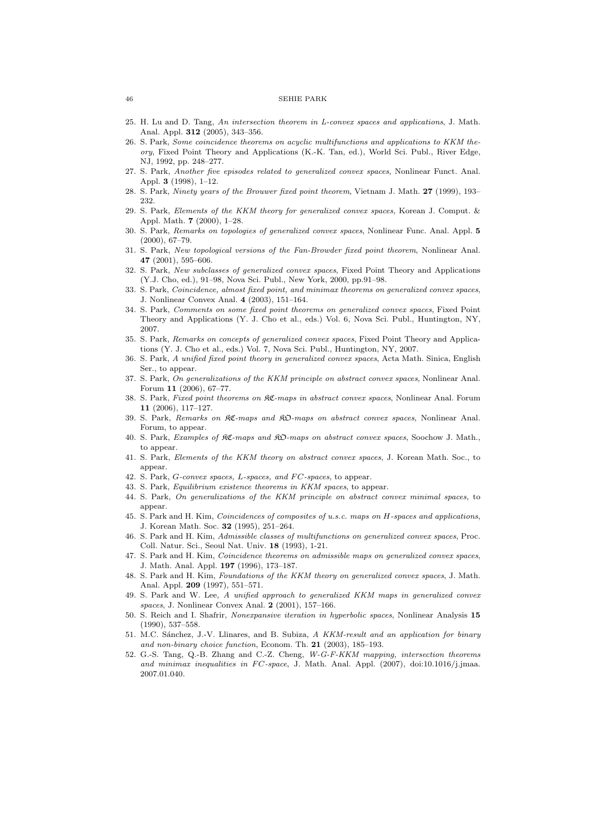- 25. H. Lu and D. Tang, An intersection theorem in L-convex spaces and applications, J. Math. Anal. Appl. 312 (2005), 343–356.
- 26. S. Park, Some coincidence theorems on acyclic multifunctions and applications to KKM theory, Fixed Point Theory and Applications (K.-K. Tan, ed.), World Sci. Publ., River Edge, NJ, 1992, pp. 248–277.
- 27. S. Park, Another five episodes related to generalized convex spaces, Nonlinear Funct. Anal. Appl. 3  $(1998)$ , 1–12.
- 28. S. Park, Ninety years of the Brouwer fixed point theorem, Vietnam J. Math. 27 (1999), 193– 232.
- 29. S. Park, Elements of the KKM theory for generalized convex spaces, Korean J. Comput. & Appl. Math. 7 (2000), 1–28.
- 30. S. Park, Remarks on topologies of generalized convex spaces, Nonlinear Func. Anal. Appl. 5 (2000), 67–79.
- 31. S. Park, New topological versions of the Fan-Browder fixed point theorem, Nonlinear Anal. 47 (2001), 595–606.
- 32. S. Park, New subclasses of generalized convex spaces, Fixed Point Theory and Applications (Y.J. Cho, ed.), 91–98, Nova Sci. Publ., New York, 2000, pp.91–98.
- 33. S. Park, Coincidence, almost fixed point, and minimax theorems on generalized convex spaces, J. Nonlinear Convex Anal. 4 (2003), 151–164.
- 34. S. Park, Comments on some fixed point theorems on generalized convex spaces, Fixed Point Theory and Applications (Y. J. Cho et al., eds.) Vol. 6, Nova Sci. Publ., Huntington, NY, 2007.
- 35. S. Park, Remarks on concepts of generalized convex spaces, Fixed Point Theory and Applications (Y. J. Cho et al., eds.) Vol. 7, Nova Sci. Publ., Huntington, NY, 2007.
- 36. S. Park, A unified fixed point theory in generalized convex spaces, Acta Math. Sinica, English Ser., to appear.
- 37. S. Park, On generalizations of the KKM principle on abstract convex spaces, Nonlinear Anal. Forum 11 (2006), 67–77.
- 38. S. Park, Fixed point theorems on  $\mathcal{R}C$ -maps in abstract convex spaces, Nonlinear Anal. Forum 11 (2006), 117–127.
- 39. S. Park, Remarks on KC-maps and KO-maps on abstract convex spaces, Nonlinear Anal. Forum, to appear.
- 40. S. Park, Examples of KC-maps and KO-maps on abstract convex spaces, Soochow J. Math., to appear.
- 41. S. Park, Elements of the KKM theory on abstract convex spaces, J. Korean Math. Soc., to appear.
- 42. S. Park, G-convex spaces, L-spaces, and FC-spaces, to appear.
- 43. S. Park, Equilibrium existence theorems in KKM spaces, to appear.
- 44. S. Park, On generalizations of the KKM principle on abstract convex minimal spaces, to appear.
- 45. S. Park and H. Kim, Coincidences of composites of u.s.c. maps on H-spaces and applications, J. Korean Math. Soc. 32 (1995), 251–264.
- 46. S. Park and H. Kim, Admissible classes of multifunctions on generalized convex spaces, Proc. Coll. Natur. Sci., Seoul Nat. Univ. 18 (1993), 1-21.
- 47. S. Park and H. Kim, Coincidence theorems on admissible maps on generalized convex spaces, J. Math. Anal. Appl. 197 (1996), 173–187.
- 48. S. Park and H. Kim, Foundations of the KKM theory on generalized convex spaces, J. Math. Anal. Appl. 209 (1997), 551–571.
- 49. S. Park and W. Lee, A unified approach to generalized KKM maps in generalized convex spaces, J. Nonlinear Convex Anal. 2 (2001), 157–166.
- 50. S. Reich and I. Shafrir, Nonexpansive iteration in hyperbolic spaces, Nonlinear Analysis 15 (1990), 537–558.
- 51. M.C. Sánchez, J.-V. Llinares, and B. Subiza, A KKM-result and an application for binary and non-binary choice function, Econom. Th. 21 (2003), 185–193.
- 52. G.-S. Tang, Q.-B. Zhang and C.-Z. Cheng, W-G-F-KKM mapping, intersection theorems and minimax inequalities in  $FC-space$ , J. Math. Anal. Appl. (2007), doi:10.1016/j.jmaa. 2007.01.040.